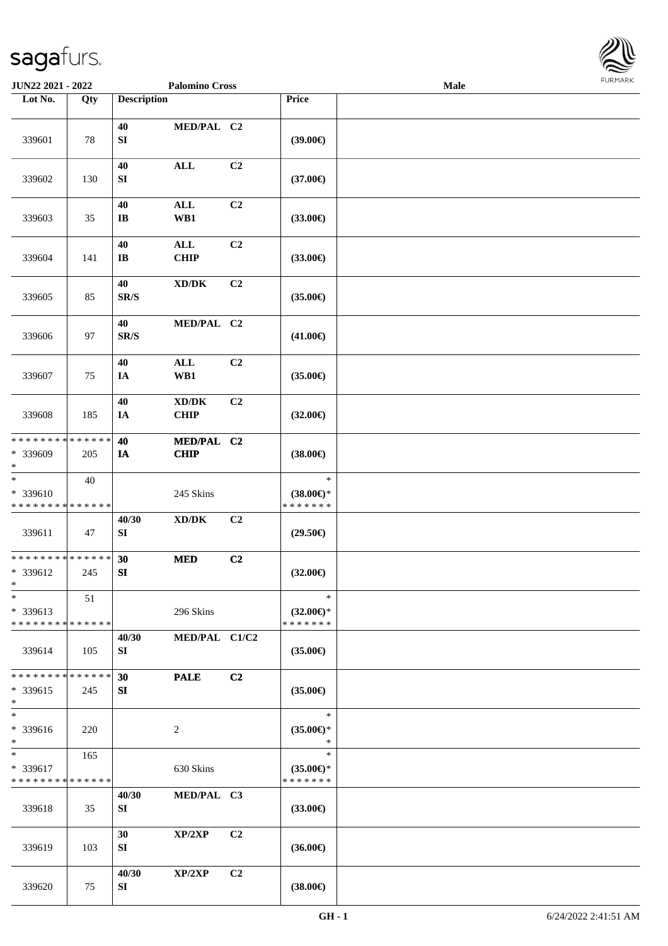

| JUN22 2021 - 2022                                 |                    |                                | <b>Palomino Cross</b>                              |                |                                                | Male |  |
|---------------------------------------------------|--------------------|--------------------------------|----------------------------------------------------|----------------|------------------------------------------------|------|--|
| Lot No.                                           | Qty                | <b>Description</b>             |                                                    |                | <b>Price</b>                                   |      |  |
| 339601                                            | 78                 | 40<br>SI                       | MED/PAL C2                                         |                | (39.00)                                        |      |  |
| 339602                                            | 130                | 40<br>SI                       | $\mathbf{ALL}$                                     | C2             | $(37.00\epsilon)$                              |      |  |
| 339603                                            | 35                 | 40<br>$\mathbf{I}\mathbf{B}$   | <b>ALL</b><br>WB1                                  | C2             | $(33.00\epsilon)$                              |      |  |
| 339604                                            | 141                | 40<br>$\mathbf{I}\mathbf{B}$   | $\mathbf{ALL}$<br><b>CHIP</b>                      | C2             | $(33.00\epsilon)$                              |      |  |
| 339605                                            | 85                 | 40<br>$\mathbf{SR}/\mathbf{S}$ | $\bold{X}\bold{D}/\bold{D}\bold{K}$                | C2             | $(35.00\epsilon)$                              |      |  |
| 339606                                            | 97                 | 40<br>$\mathbf{SR}/\mathbf{S}$ | MED/PAL C2                                         |                | $(41.00\epsilon)$                              |      |  |
| 339607                                            | 75                 | 40<br>IA                       | $\mathbf{ALL}$<br>WB1                              | C2             | $(35.00\epsilon)$                              |      |  |
| 339608                                            | 185                | 40<br>IA                       | $\bold{X}\bold{D}/\bold{D}\bold{K}$<br><b>CHIP</b> | C2             | $(32.00\epsilon)$                              |      |  |
| * * * * * * * *<br>* 339609<br>$\ast$             | * * * * * *<br>205 | 40<br>IA                       | MED/PAL C2<br><b>CHIP</b>                          |                | $(38.00\epsilon)$                              |      |  |
| $\ast$<br>* 339610<br>* * * * * * * * * * * * * * | 40                 |                                | 245 Skins                                          |                | $\ast$<br>$(38.00\epsilon)$ *<br>* * * * * * * |      |  |
| 339611                                            | 47                 | 40/30<br>${\bf S}{\bf I}$      | $\bold{X}\bold{D}/\bold{D}\bold{K}$                | C2             | $(29.50\epsilon)$                              |      |  |
| * * * * * * * * * * * * * *<br>* 339612<br>$*$    | 245                | 30<br>SI                       | <b>MED</b>                                         | C2             | $(32.00\epsilon)$                              |      |  |
| $\ast$<br>* 339613<br>* * * * * * * * * * * * * * | 51                 |                                | 296 Skins                                          |                | $\ast$<br>$(32.00\epsilon)$ *<br>* * * * * * * |      |  |
| 339614                                            | 105                | 40/30<br>SI                    | MED/PAL C1/C2                                      |                | $(35.00\epsilon)$                              |      |  |
| * * * * * * * *<br>* 339615<br>$\ast$             | * * * * * *<br>245 | 30<br>SI                       | <b>PALE</b>                                        | C <sub>2</sub> | $(35.00\epsilon)$                              |      |  |
| $\overline{\ast}$<br>* 339616<br>$*$              | 220                |                                | $\overline{c}$                                     |                | $\ast$<br>$(35.00\epsilon)$ *<br>$\ast$        |      |  |
| $\ast$<br>* 339617<br>* * * * * * * * * * * * * * | 165                |                                | 630 Skins                                          |                | $\ast$<br>$(35.00\epsilon)$ *<br>* * * * * * * |      |  |
| 339618                                            | 35                 | 40/30<br>SI                    | MED/PAL C3                                         |                | $(33.00\epsilon)$                              |      |  |
| 339619                                            | 103                | 30<br>SI                       | XP/2XP                                             | C2             | $(36.00\in)$                                   |      |  |
| 339620                                            | 75                 | 40/30<br>SI                    | XP/2XP                                             | C2             | $(38.00\epsilon)$                              |      |  |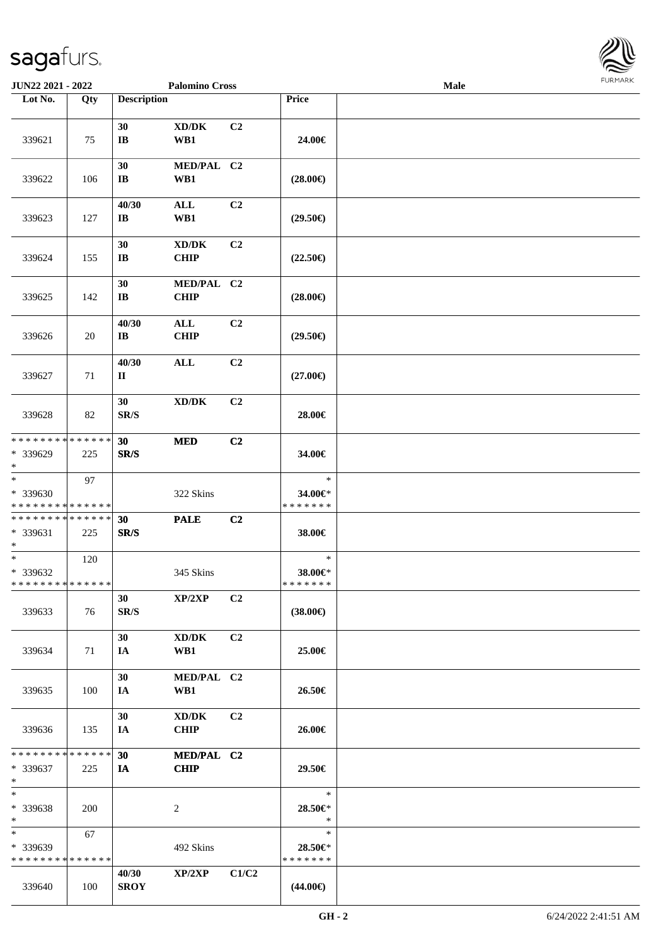

| JUN22 2021 - 2022                                                     |     |                                 | <b>Palomino Cross</b>                              |                |                                    | Male |  |
|-----------------------------------------------------------------------|-----|---------------------------------|----------------------------------------------------|----------------|------------------------------------|------|--|
| Lot No.                                                               | Qty | <b>Description</b>              |                                                    |                | Price                              |      |  |
| 339621                                                                | 75  | 30<br>$\bf{IB}$                 | XD/DK<br>WB1                                       | C <sub>2</sub> | 24.00€                             |      |  |
| 339622                                                                | 106 | 30<br>$\mathbf{I}\mathbf{B}$    | MED/PAL C2<br>WB1                                  |                | $(28.00\epsilon)$                  |      |  |
| 339623                                                                | 127 | 40/30<br>$\mathbf{I}\mathbf{B}$ | $\mathbf{ALL}$<br>WB1                              | C2             | $(29.50\epsilon)$                  |      |  |
| 339624                                                                | 155 | 30<br>$\mathbf{I}\mathbf{B}$    | $\bold{X}\bold{D}/\bold{D}\bold{K}$<br><b>CHIP</b> | C2             | $(22.50\epsilon)$                  |      |  |
| 339625                                                                | 142 | 30<br>$\mathbf{I}\mathbf{B}$    | MED/PAL C2<br><b>CHIP</b>                          |                | $(28.00\epsilon)$                  |      |  |
| 339626                                                                | 20  | 40/30<br>$\bf IB$               | ALL<br><b>CHIP</b>                                 | C2             | $(29.50\epsilon)$                  |      |  |
| 339627                                                                | 71  | 40/30<br>$\mathbf{I}$           | $\mathbf{ALL}$                                     | C2             | $(27.00\epsilon)$                  |      |  |
| 339628                                                                | 82  | 30<br>SR/S                      | $\bold{X}\bold{D}/\bold{D}\bold{K}$                | C2             | 28.00€                             |      |  |
| * * * * * * * * * * * * * *<br>* 339629<br>$\ast$                     | 225 | 30<br>SR/S                      | $\bf MED$                                          | C2             | 34.00€                             |      |  |
| $\overline{\phantom{a}^*}$<br>* 339630<br>* * * * * * * * * * * * * * | 97  |                                 | 322 Skins                                          |                | $\ast$<br>34.00€*<br>* * * * * * * |      |  |
| **************<br>* 339631<br>$\ast$                                  | 225 | 30<br>SR/S                      | <b>PALE</b>                                        | C2             | 38.00€                             |      |  |
| $\ast$<br>* 339632<br>* * * * * * * * * * * * * * *                   | 120 |                                 | 345 Skins                                          |                | $\ast$<br>38.00€*<br>*******       |      |  |
| 339633                                                                | 76  | 30<br>SR/S                      | XP/2XP                                             | C <sub>2</sub> | $(38.00\in)$                       |      |  |
| 339634                                                                | 71  | 30<br>IA                        | XD/DK<br>WB1                                       | C <sub>2</sub> | 25.00€                             |      |  |
| 339635                                                                | 100 | 30<br>IA                        | MED/PAL C2<br>WB1                                  |                | 26.50€                             |      |  |
| 339636                                                                | 135 | 30<br>IA                        | XD/DK<br><b>CHIP</b>                               | C <sub>2</sub> | 26.00€                             |      |  |
| * * * * * * * * * * * * * * *<br>* 339637<br>$\ast$                   | 225 | 30<br><b>IA</b>                 | MED/PAL C2<br><b>CHIP</b>                          |                | 29.50€                             |      |  |
| $\ast$<br>* 339638<br>$\ast$                                          | 200 |                                 | $\overline{c}$                                     |                | $\ast$<br>28.50€*<br>$\ast$        |      |  |
| $\ast$<br>* 339639<br>* * * * * * * * * * * * * *                     | 67  |                                 | 492 Skins                                          |                | $\ast$<br>28.50€*<br>* * * * * * * |      |  |
| 339640                                                                | 100 | 40/30<br><b>SROY</b>            | XP/2XP                                             | C1/C2          | $(44.00\epsilon)$                  |      |  |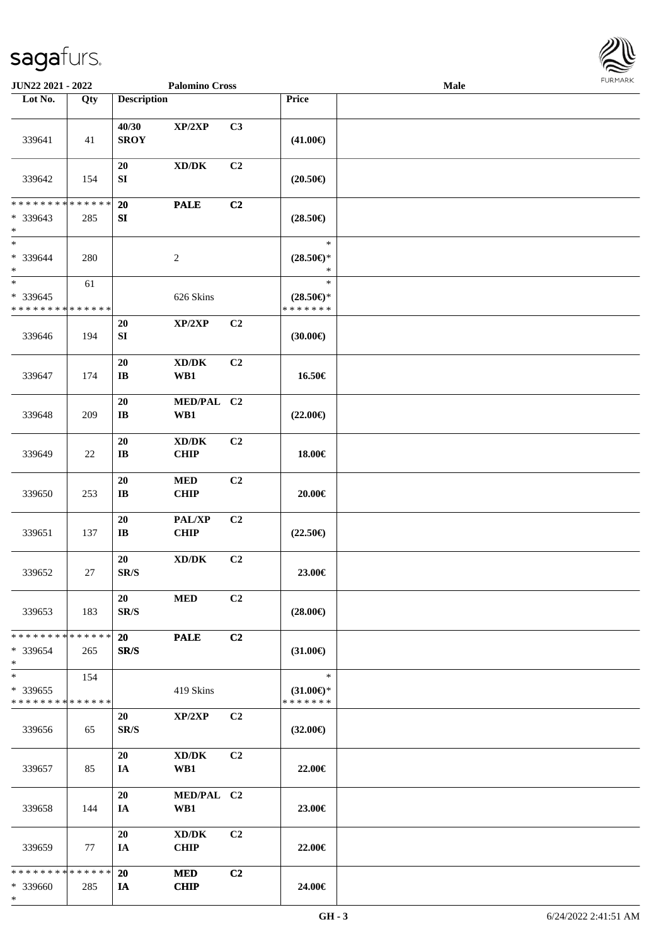\*



| JUN22 2021 - 2022                                                     |                   |                                  | <b>Palomino Cross</b>                              |                |                                                | <b>Male</b> |  |
|-----------------------------------------------------------------------|-------------------|----------------------------------|----------------------------------------------------|----------------|------------------------------------------------|-------------|--|
| Lot No.                                                               | $\overline{Q}$ ty | <b>Description</b>               |                                                    |                | Price                                          |             |  |
| 339641                                                                | 41                | 40/30<br><b>SROY</b>             | XP/2XP                                             | C3             | $(41.00\epsilon)$                              |             |  |
| 339642                                                                | 154               | 20<br>${\bf S}{\bf I}$           | XD/DK                                              | C <sub>2</sub> | $(20.50\epsilon)$                              |             |  |
| * * * * * * * * * * * * * *<br>* 339643<br>$\ast$                     | 285               | 20<br>${\bf S}{\bf I}$           | <b>PALE</b>                                        | C2             | $(28.50\epsilon)$                              |             |  |
| $\overline{\phantom{a}^*}$<br>* 339644<br>$\ast$                      | 280               |                                  | $\sqrt{2}$                                         |                | $\ast$<br>$(28.50\epsilon)$ *<br>$\ast$        |             |  |
| $\overline{\phantom{a}^*}$<br>* 339645<br>* * * * * * * * * * * * * * | 61                |                                  | 626 Skins                                          |                | $\ast$<br>$(28.50\epsilon)$ *<br>* * * * * * * |             |  |
| 339646                                                                | 194               | $20\,$<br>SI                     | XP/2XP                                             | C2             | (30.00)                                        |             |  |
| 339647                                                                | 174               | $20\,$<br>$\bf I\bf B$           | $\bold{X}\bold{D}/\bold{D}\bold{K}$<br>WB1         | C2             | 16.50€                                         |             |  |
| 339648                                                                | 209               | 20<br>$\mathbf{I}\mathbf{B}$     | MED/PAL C2<br>WB1                                  |                | $(22.00\epsilon)$                              |             |  |
| 339649                                                                | 22                | $20\,$<br>$\mathbf{I}\mathbf{B}$ | $\bold{X}\bold{D}/\bold{D}\bold{K}$<br><b>CHIP</b> | C2             | 18.00€                                         |             |  |
| 339650                                                                | 253               | $20\,$<br>$\mathbf{I}\mathbf{B}$ | $\bf MED$<br>CHIP                                  | C2             | $20.00 \in$                                    |             |  |
| 339651                                                                | 137               | $20\,$<br>$\mathbf{I}\mathbf{B}$ | PAL/XP<br><b>CHIP</b>                              | C2             | $(22.50\epsilon)$                              |             |  |
| 339652                                                                | 27                | 20<br>$\mathbf{SR}/\mathbf{S}$   | $\bold{X}\bold{D}/\bold{D}\bold{K}$                | C2             | 23.00€                                         |             |  |
| 339653                                                                | 183               | 20<br>SR/S                       | <b>MED</b>                                         | C2             | $(28.00\epsilon)$                              |             |  |
| * * * * * * * * * * * * * *<br>$*339654$<br>$\ast$                    | 265               | 20<br>SR/S                       | <b>PALE</b>                                        | C2             | $(31.00\epsilon)$                              |             |  |
| $\ast$<br>* 339655<br>* * * * * * * * * * * * * *                     | 154               |                                  | 419 Skins                                          |                | $\ast$<br>$(31.00\epsilon)$ *<br>* * * * * * * |             |  |
| 339656                                                                | 65                | 20<br>SR/S                       | XP/2XP                                             | C2             | $(32.00\epsilon)$                              |             |  |
| 339657                                                                | 85                | 20<br>IA                         | XD/DK<br>WB1                                       | C2             | 22.00€                                         |             |  |
| 339658                                                                | 144               | 20<br>IA                         | MED/PAL C2<br>WB1                                  |                | 23.00€                                         |             |  |
| 339659                                                                | 77                | 20<br>IA                         | XD/DK<br><b>CHIP</b>                               | C2             | 22.00€                                         |             |  |
| * * * * * * * * * * * * * *<br>* 339660                               | 285               | <b>20</b><br>IA                  | <b>MED</b><br><b>CHIP</b>                          | C2             | 24.00€                                         |             |  |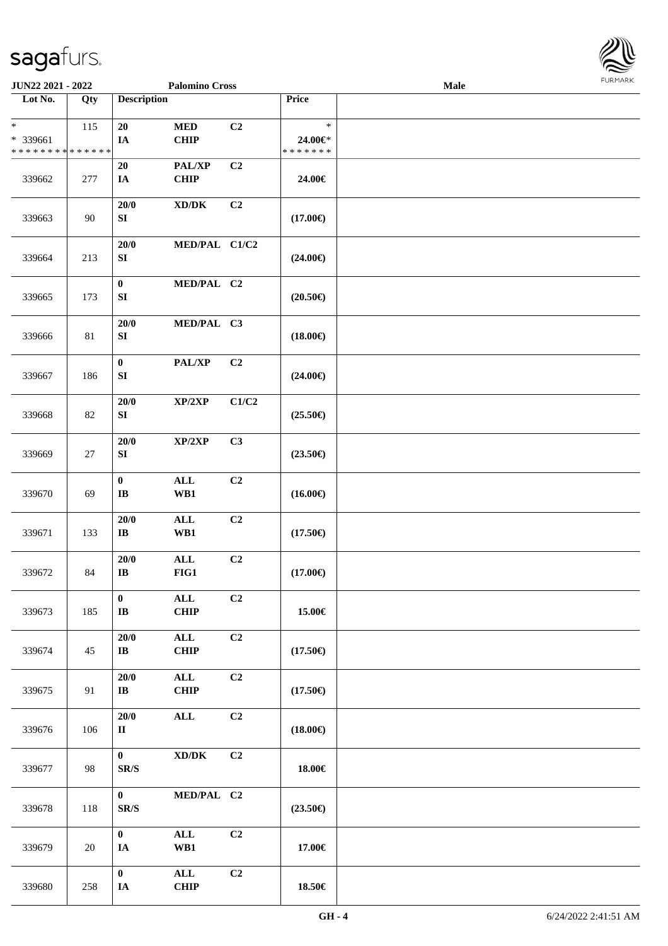| Lot No.                     | Qty    | <b>Description</b>                                                        |                                           |                | <b>Price</b>      |  |
|-----------------------------|--------|---------------------------------------------------------------------------|-------------------------------------------|----------------|-------------------|--|
| $\ast$<br>* 339661          | 115    | 20<br>IA                                                                  | $\bf MED$<br>CHIP                         | C <sub>2</sub> | $\ast$<br>24.00€* |  |
| * * * * * * * * * * * * * * |        |                                                                           |                                           |                | * * * * * * *     |  |
| 339662                      | 277    | 20<br>IA                                                                  | PAL/XP<br>CHIP                            | C2             | 24.00€            |  |
| 339663                      | 90     | 20/0<br>SI                                                                | $\bold{X}\bold{D}/\bold{D}\bold{K}$       | C <sub>2</sub> | $(17.00\in)$      |  |
| 339664                      | 213    | 20/0<br>${\bf S}{\bf I}$                                                  | MED/PAL C1/C2                             |                | $(24.00\epsilon)$ |  |
| 339665                      | 173    | $\bf{0}$<br>${\bf S}{\bf I}$                                              | MED/PAL C2                                |                | $(20.50\epsilon)$ |  |
| 339666                      | 81     | 20/0<br>SI                                                                | MED/PAL C3                                |                | $(18.00\in)$      |  |
| 339667                      | 186    | $\bf{0}$<br>SI                                                            | PAL/XP                                    | C2             | $(24.00\epsilon)$ |  |
| 339668                      | 82     | 20/0<br>SI                                                                | XP/2XP                                    | C1/C2          | $(25.50\epsilon)$ |  |
| 339669                      | 27     | 20/0<br>SI                                                                | XP/2XP                                    | C3             | $(23.50\epsilon)$ |  |
| 339670                      | 69     | $\mathbf 0$<br>$\bf I\bf B$                                               | $\mathbf{ALL}$<br>$\mathbf{W}\mathbf{B1}$ | C <sub>2</sub> | $(16.00\epsilon)$ |  |
| 339671                      | 133    | $20/0$<br>$\bf IB$                                                        | $\mathbf{ALL}$<br>WB1                     | C2             | $(17.50\in)$      |  |
| 339672                      | 84     | 20/0<br>$\mathbf{I}\mathbf{B}$                                            | $\mathbf{ALL}$<br>FIG1                    | C2             | $(17.00\epsilon)$ |  |
| 339673                      | 185    | $\bf{0}$<br>$\bf{IB}$                                                     | $\mathbf{ALL}$<br><b>CHIP</b>             | C2             | 15.00€            |  |
| 339674                      | 45     | $20/0$<br>$\bf IB$                                                        | $\mathbf{ALL}$<br>CHIP                    | C <sub>2</sub> | $(17.50\epsilon)$ |  |
| 339675                      | 91     | $20/0$<br>$\mathbf{I}\mathbf{B}$                                          | $\mathbf{ALL}$<br><b>CHIP</b>             | C <sub>2</sub> | $(17.50\in)$      |  |
| 339676                      | 106    | 20/0<br>$\rm II$                                                          | $\mathbf{ALL}$                            | C2             | $(18.00\in)$      |  |
| 339677                      | 98     | $\mathbf{0}$<br>$\ensuremath{\textup{SR}}\xspace/\ensuremath{\textup{S}}$ | $\boldsymbol{\text{XD}/\text{DK}}$        | C <sub>2</sub> | 18.00€            |  |
| 339678                      | 118    | $\mathbf{0}$<br>SR/S                                                      | MED/PAL C2                                |                | $(23.50\epsilon)$ |  |
| 339679                      | $20\,$ | $\mathbf{0}$<br>$I\!\!A$                                                  | $\mathbf{ALL}$<br>WB1                     | C2             | 17.00€            |  |
| 339680                      | 258    | $\pmb{0}$<br>$I\!\!A$                                                     | $\mathbf{ALL}$<br>CHIP                    | C2             | 18.50€            |  |

**JUN22 2021 - 2022 Palomino Cross Male**

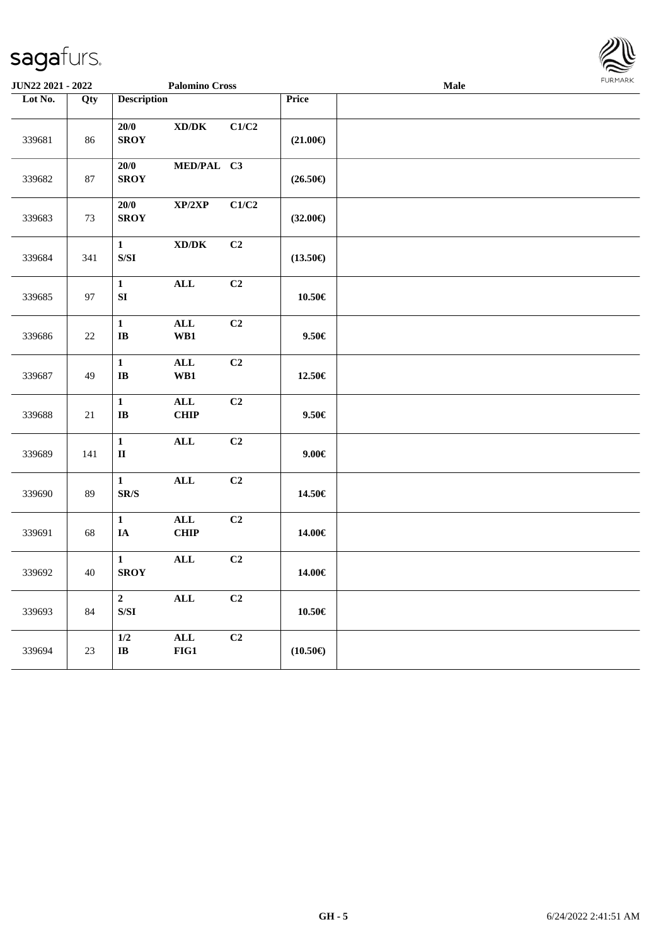

| JUN22 2021 - 2022 |        | <b>Palomino Cross</b>                                                                                  |                                             |       |                   | Male | FURMARK |  |  |
|-------------------|--------|--------------------------------------------------------------------------------------------------------|---------------------------------------------|-------|-------------------|------|---------|--|--|
| Lot No.           | Qty    | <b>Description</b>                                                                                     |                                             |       | Price             |      |         |  |  |
| 339681            | 86     | 20/0<br><b>SROY</b>                                                                                    | $\boldsymbol{\text{XD} / \text{DK}}$        | C1/C2 | $(21.00\epsilon)$ |      |         |  |  |
| 339682            | 87     | 20/0<br><b>SROY</b>                                                                                    | MED/PAL C3                                  |       | $(26.50\epsilon)$ |      |         |  |  |
| 339683            | 73     | 20/0<br><b>SROY</b>                                                                                    | XP/2XP                                      | C1/C2 | $(32.00\epsilon)$ |      |         |  |  |
| 339684            | 341    | $\mathbf{1}$<br>$\ensuremath{\mathrm{S}}\xspace/\ensuremath{\mathrm{S}}\xspace\ensuremath{\mathrm{I}}$ | $\mathbf{X}\mathbf{D}/\mathbf{D}\mathbf{K}$ | C2    | $(13.50\epsilon)$ |      |         |  |  |
| 339685            | 97     | $\mathbf{1}$<br>${\bf S}{\bf I}$                                                                       | <b>ALL</b>                                  | C2    | $10.50\in$        |      |         |  |  |
| 339686            | 22     | $\mathbf{1}$<br>$\bf IB$                                                                               | $\mathbf{ALL}$<br>W B1                      | C2    | $9.50 \in$        |      |         |  |  |
| 339687            | 49     | $\mathbf{1}$<br>$\bf IB$                                                                               | <b>ALL</b><br>WB1                           | C2    | 12.50€            |      |         |  |  |
| 339688            | 21     | $\mathbf{1}$<br>$\bf I\bf B$                                                                           | ALL<br><b>CHIP</b>                          | C2    | $9.50 \in$        |      |         |  |  |
| 339689            | 141    | $\mathbf{1}$<br>$\mathbf{I}$                                                                           | $\mathbf{ALL}$                              | C2    | $9.00 \in$        |      |         |  |  |
| 339690            | 89     | $\mathbf{1}$<br>$\mbox{S}\mbox{R}/\mbox{S}$                                                            | <b>ALL</b>                                  | C2    | 14.50€            |      |         |  |  |
| 339691            | 68     | $\mathbf{1}$<br>IA                                                                                     | $\mathbf{ALL}$<br><b>CHIP</b>               | C2    | 14.00€            |      |         |  |  |
| 339692            | 40     | $\mathbf{1}$<br><b>SROY</b>                                                                            | $\mathbf{ALL}$                              | C2    | 14.00€            |      |         |  |  |
| 339693            | $84\,$ | $\mathbf 2$<br>$\ensuremath{\mathrm{S}}\xspace/\ensuremath{\mathrm{S}}\xspace\ensuremath{\mathrm{I}}$  | $\mathbf{ALL}$                              | C2    | $10.50\in$        |      |         |  |  |
| 339694            | $23\,$ | $1/2$<br>$\bf IB$                                                                                      | $\mathbf{ALL}$<br>$FIG1$                    | C2    | $(10.50\epsilon)$ |      |         |  |  |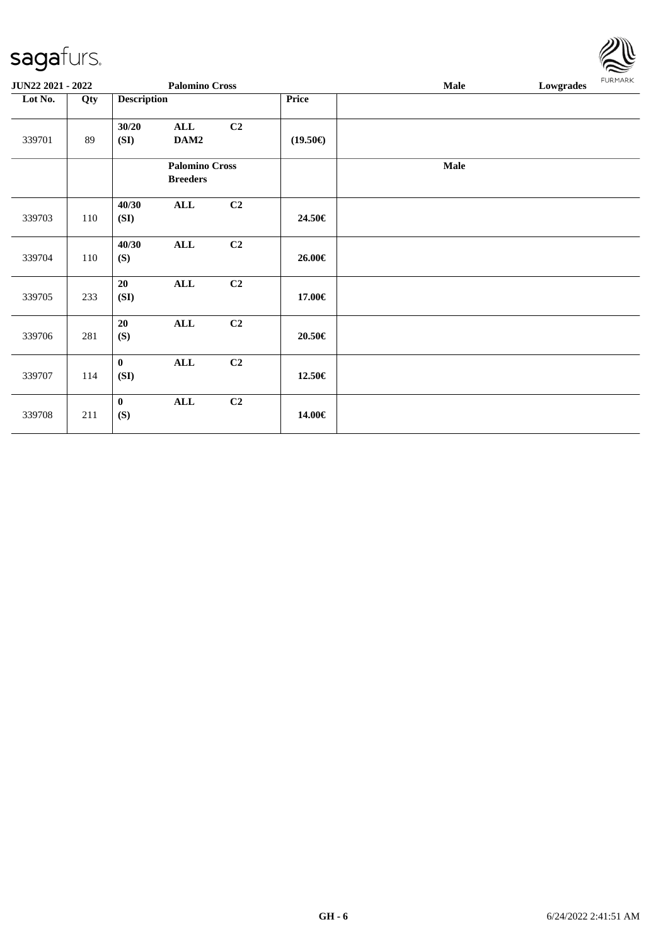| <b>JUN22 2021 - 2022</b> |     |                    | <b>Palomino Cross</b>                    |                |                   | Male | Lowgrades | <b>FURMARK</b> |  |
|--------------------------|-----|--------------------|------------------------------------------|----------------|-------------------|------|-----------|----------------|--|
| Lot No.                  | Qty | <b>Description</b> |                                          |                | Price             |      |           |                |  |
| 339701                   | 89  | 30/20<br>(SI)      | <b>ALL</b><br>DAM2                       | C <sub>2</sub> | $(19.50\epsilon)$ |      |           |                |  |
|                          |     |                    | <b>Palomino Cross</b><br><b>Breeders</b> |                |                   | Male |           |                |  |
| 339703                   | 110 | 40/30<br>(SI)      | <b>ALL</b>                               | C <sub>2</sub> | 24.50€            |      |           |                |  |
| 339704                   | 110 | 40/30<br>(S)       | <b>ALL</b>                               | C <sub>2</sub> | 26.00€            |      |           |                |  |
| 339705                   | 233 | 20<br>(SI)         | <b>ALL</b>                               | C <sub>2</sub> | 17.00€            |      |           |                |  |
| 339706                   | 281 | 20<br>(S)          | <b>ALL</b>                               | C <sub>2</sub> | 20.50€            |      |           |                |  |
| 339707                   | 114 | $\bf{0}$<br>(SI)   | <b>ALL</b>                               | C <sub>2</sub> | 12.50€            |      |           |                |  |
| 339708                   | 211 | $\bf{0}$<br>(S)    | <b>ALL</b>                               | C <sub>2</sub> | 14.00€            |      |           |                |  |

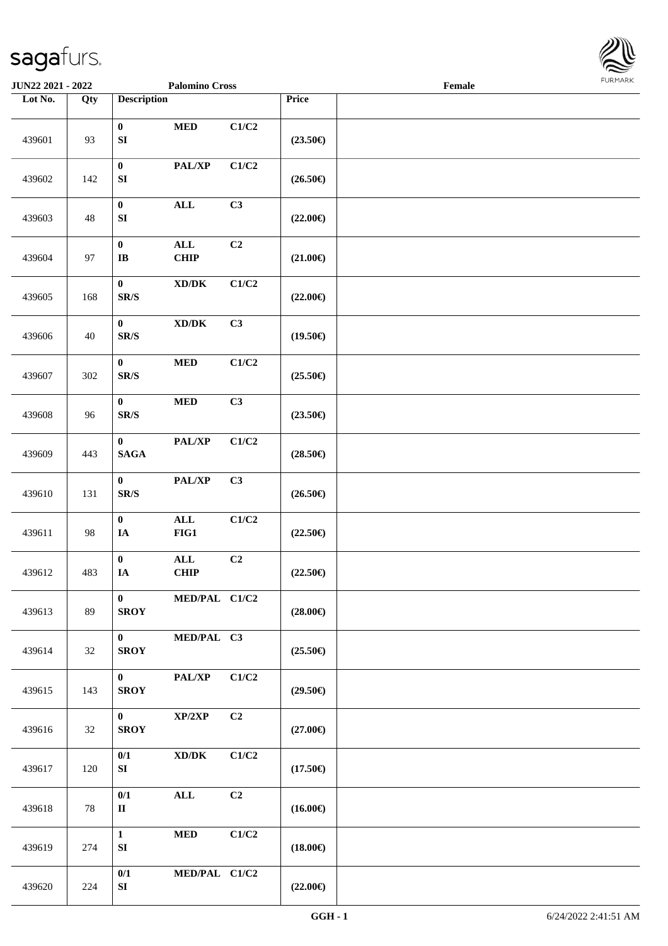

| JUN22 2021 - 2022 |     |                                                                       | <b>Palomino Cross</b>              |                |                   | Female |  |
|-------------------|-----|-----------------------------------------------------------------------|------------------------------------|----------------|-------------------|--------|--|
| Lot No.           | Qty | <b>Description</b>                                                    |                                    |                | Price             |        |  |
| 439601            | 93  | $\bf{0}$<br>${\bf SI}$                                                | $\bf MED$                          | C1/C2          | $(23.50\epsilon)$ |        |  |
| 439602            | 142 | $\boldsymbol{0}$<br>${\bf SI}$                                        | PAL/XP                             | C1/C2          | $(26.50\epsilon)$ |        |  |
| 439603            | 48  | $\pmb{0}$<br>${\bf SI}$                                               | $\mathbf{ALL}$                     | C3             | $(22.00\epsilon)$ |        |  |
| 439604            | 97  | $\boldsymbol{0}$<br>$\bf I\bf B$                                      | $\mathbf{ALL}$<br>CHIP             | C2             | $(21.00\epsilon)$ |        |  |
| 439605            | 168 | $\boldsymbol{0}$<br>$\mathbf{SR}/\mathbf{S}$                          | $\boldsymbol{\text{XD}/\text{DK}}$ | C1/C2          | $(22.00\epsilon)$ |        |  |
| 439606            | 40  | $\bf{0}$<br>$\mathbf{SR}/\mathbf{S}$                                  | $\boldsymbol{\text{XD}/\text{DK}}$ | C3             | $(19.50\epsilon)$ |        |  |
| 439607            | 302 | $\bf{0}$<br>$\mathbf{SR}/\mathbf{S}$                                  | $\bf MED$                          | C1/C2          | $(25.50\epsilon)$ |        |  |
| 439608            | 96  | $\bf{0}$<br>$\mathbf{SR}/\mathbf{S}$                                  | $\bf MED$                          | C3             | $(23.50\epsilon)$ |        |  |
| 439609            | 443 | $\bf{0}$<br>$\mathbf{SAGA}$                                           | PAL/XP                             | C1/C2          | $(28.50\epsilon)$ |        |  |
| 439610            | 131 | $\bf{0}$<br>$\ensuremath{\textup{SR}}\xspace/\ensuremath{\textup{S}}$ | PAL/XP                             | C3             | $(26.50\epsilon)$ |        |  |
| 439611            | 98  | $\bf{0}$<br>$\mathbf{IA}$                                             | $\mathbf{ALL}$<br>$FIG1$           | C1/C2          | $(22.50\epsilon)$ |        |  |
| 439612            | 483 | $\boldsymbol{0}$<br>IA                                                | $\mathbf{ALL}$<br>CHIP             | C <sub>2</sub> | $(22.50\epsilon)$ |        |  |
| 439613            | 89  | $\bf{0}$<br><b>SROY</b>                                               | MED/PAL C1/C2                      |                | $(28.00\in)$      |        |  |
| 439614            | 32  | $\mathbf{0}$<br><b>SROY</b>                                           | MED/PAL C3                         |                | $(25.50\epsilon)$ |        |  |
| 439615            | 143 | $\mathbf{0}$<br><b>SROY</b>                                           | PAL/XP                             | C1/C2          | $(29.50\epsilon)$ |        |  |
| 439616            | 32  | $\mathbf{0}$<br><b>SROY</b>                                           | XP/2XP                             | C2             | $(27.00\epsilon)$ |        |  |
| 439617            | 120 | 0/1<br>SI                                                             | $\boldsymbol{\text{XD}/\text{DK}}$ | C1/C2          | $(17.50\epsilon)$ |        |  |
| 439618            | 78  | 0/1<br>$\rm II$                                                       | $\mathbf{ALL}$                     | C <sub>2</sub> | $(16.00\epsilon)$ |        |  |
| 439619            | 274 | $\mathbf{1}$<br>SI                                                    | $\bf MED$                          | C1/C2          | $(18.00\epsilon)$ |        |  |
| 439620            | 224 | 0/1<br>SI                                                             | MED/PAL C1/C2                      |                | $(22.00\epsilon)$ |        |  |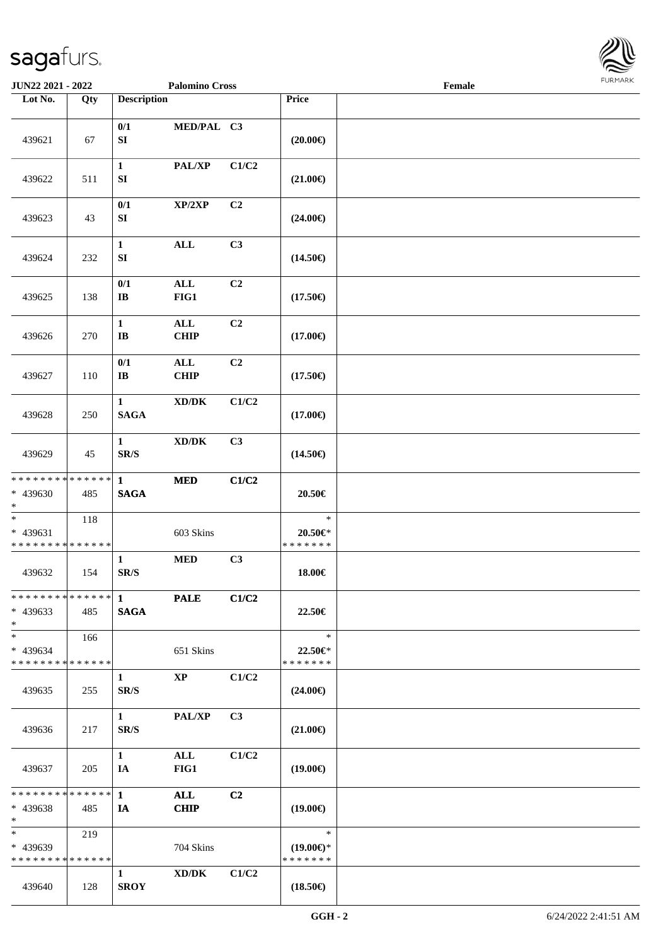

| JUN22 2021 - 2022                                 |                    | <b>Palomino Cross</b>                    |                                      |       | Female                                         |  |  |
|---------------------------------------------------|--------------------|------------------------------------------|--------------------------------------|-------|------------------------------------------------|--|--|
| Lot No.                                           | Qty                | <b>Description</b>                       |                                      |       | Price                                          |  |  |
| 439621                                            | 67                 | 0/1<br>${\bf S}{\bf I}$                  | MED/PAL C3                           |       | $(20.00\epsilon)$                              |  |  |
| 439622                                            | 511                | $\mathbf{1}$<br>${\bf SI}$               | PAL/XP                               | C1/C2 | $(21.00\epsilon)$                              |  |  |
| 439623                                            | 43                 | 0/1<br>SI                                | XP/2XP                               | C2    | $(24.00\epsilon)$                              |  |  |
| 439624                                            | 232                | $\mathbf{1}$<br>${\bf S}{\bf I}$         | $\mathbf{ALL}$                       | C3    | $(14.50\epsilon)$                              |  |  |
| 439625                                            | 138                | 0/1<br>$\mathbf{I}\mathbf{B}$            | $\mathbf{ALL}$<br>FIG1               | C2    | $(17.50\epsilon)$                              |  |  |
| 439626                                            | 270                | $\mathbf{1}$<br>$\bf I\bf B$             | $\mathbf{ALL}$<br><b>CHIP</b>        | C2    | $(17.00\epsilon)$                              |  |  |
| 439627                                            | 110                | 0/1<br>$\bf I\bf B$                      | $\mathbf{ALL}$<br><b>CHIP</b>        | C2    | $(17.50\epsilon)$                              |  |  |
| 439628                                            | 250                | $\mathbf{1}$<br><b>SAGA</b>              | $\boldsymbol{\text{XD} / \text{DK}}$ | C1/C2 | $(17.00\epsilon)$                              |  |  |
| 439629                                            | 45                 | $\mathbf{1}$<br>SR/S                     | $\bold{X}\bold{D}/\bold{D}\bold{K}$  | C3    | $(14.50\epsilon)$                              |  |  |
| * * * * * * * * * * * * * *<br>* 439630<br>$\ast$ | 485                | $\mathbf{1}$<br><b>SAGA</b>              | $\bf MED$                            | C1/C2 | 20.50€                                         |  |  |
| $\ast$<br>* 439631<br>* * * * * * * * * * * * * * | 118                |                                          | 603 Skins                            |       | $\ast$<br>$20.50 \in$ *<br>* * * * * * *       |  |  |
| 439632                                            | 154                | $\mathbf{1}$<br>$\mathbf{SR}/\mathbf{S}$ | <b>MED</b>                           | C3    | 18.00€                                         |  |  |
| $* 439633$<br>$*$                                 | 485                | <b>SAGA</b>                              | <b>PALE</b>                          | C1/C2 | 22.50€                                         |  |  |
| $\ast$<br>* 439634<br>* * * * * * * * * * * * * * | 166                |                                          | 651 Skins                            |       | $\ast$<br>22.50€*<br>* * * * * * *             |  |  |
| 439635                                            | 255                | $\mathbf{1}$<br>SR/S                     | $\mathbf{X}\mathbf{P}$               | C1/C2 | $(24.00\epsilon)$                              |  |  |
| 439636                                            | 217                | $\mathbf{1}$<br>SR/S                     | PAL/XP                               | C3    | $(21.00\in)$                                   |  |  |
| 439637                                            | 205                | $\mathbf{1}$<br>IA                       | ALL<br>FIG1                          | C1/C2 | $(19.00\epsilon)$                              |  |  |
| ********<br>* 439638<br>$\ast$                    | * * * * * *<br>485 | $\mathbf{1}$<br>IA                       | ALL<br><b>CHIP</b>                   | C2    | $(19.00\epsilon)$                              |  |  |
| $\ast$<br>* 439639<br>* * * * * * * * * * * * * * | 219                |                                          | 704 Skins                            |       | $\ast$<br>$(19.00\epsilon)$ *<br>* * * * * * * |  |  |
| 439640                                            | 128                | $\mathbf{1}$<br><b>SROY</b>              | XD/DK                                | C1/C2 | $(18.50\epsilon)$                              |  |  |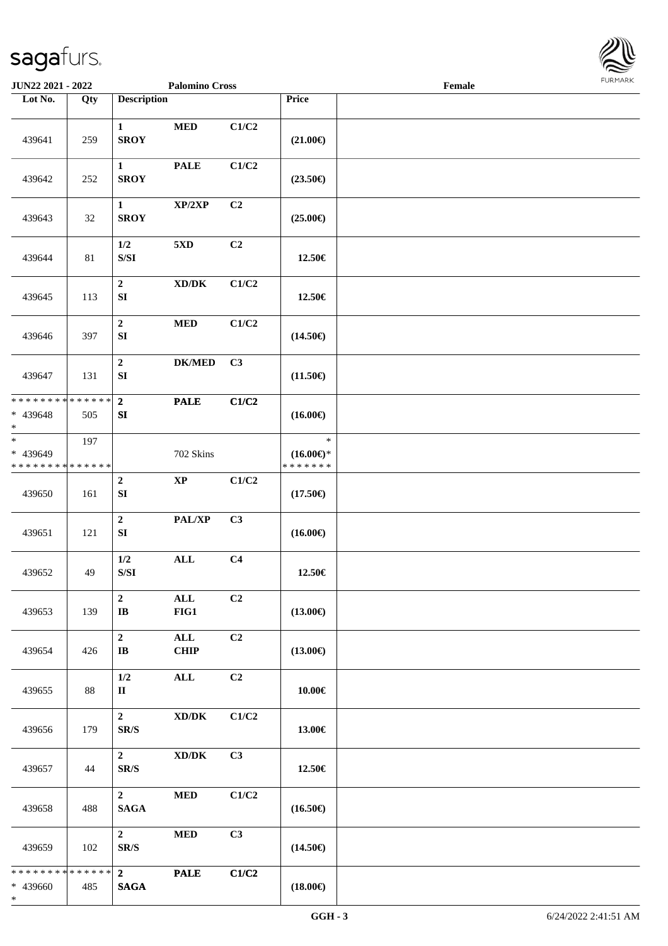

| JUN22 2021 - 2022                                    |        |                                                                                                 | <b>Palomino Cross</b>                |                |                                                | Female | 1011111111 |
|------------------------------------------------------|--------|-------------------------------------------------------------------------------------------------|--------------------------------------|----------------|------------------------------------------------|--------|------------|
| Lot No.                                              | Qty    | <b>Description</b>                                                                              |                                      |                | Price                                          |        |            |
| 439641                                               | 259    | $\mathbf{1}$<br><b>SROY</b>                                                                     | $\bf MED$                            | C1/C2          | $(21.00\epsilon)$                              |        |            |
| 439642                                               | 252    | $\mathbf{1}$<br><b>SROY</b>                                                                     | <b>PALE</b>                          | C1/C2          | $(23.50\epsilon)$                              |        |            |
| 439643                                               | 32     | $\mathbf{1}$<br><b>SROY</b>                                                                     | XP/2XP                               | C2             | $(25.00\epsilon)$                              |        |            |
| 439644                                               | $81\,$ | 1/2<br>$\ensuremath{\mathrm{S}}\xspace/\ensuremath{\mathrm{S}}\xspace\ensuremath{\mathrm{I}}$   | 5 <sub>xD</sub>                      | C2             | 12.50€                                         |        |            |
| 439645                                               | 113    | $\mathbf 2$<br>${\bf S}{\bf I}$                                                                 | $\boldsymbol{\text{XD}/\text{DK}}$   | C1/C2          | 12.50€                                         |        |            |
| 439646                                               | 397    | $\mathbf 2$<br>SI                                                                               | $\bf MED$                            | C1/C2          | $(14.50\epsilon)$                              |        |            |
| 439647                                               | 131    | $\mathbf 2$<br>${\bf S}{\bf I}$                                                                 | $DK/MED$                             | C3             | $(11.50\epsilon)$                              |        |            |
| * * * * * * * * * * * * * *<br>* 439648<br>$\ast$    | 505    | $\overline{2}$<br>${\bf S}{\bf I}$                                                              | <b>PALE</b>                          | C1/C2          | $(16.00\epsilon)$                              |        |            |
| $_{\ast}$<br>* 439649<br>* * * * * * * * * * * * * * | 197    |                                                                                                 | 702 Skins                            |                | $\ast$<br>$(16.00\epsilon)$ *<br>* * * * * * * |        |            |
| 439650                                               | 161    | $\boldsymbol{2}$<br>${\bf SI}$                                                                  | $\bold{XP}$                          | C1/C2          | $(17.50\epsilon)$                              |        |            |
| 439651                                               | 121    | $\mathbf 2$<br>${\bf S}{\bf I}$                                                                 | PAL/XP                               | C3             | $(16.00\epsilon)$                              |        |            |
| 439652                                               | 49     | $1/2$<br>$\ensuremath{\mathrm{S}}\xspace/\ensuremath{\mathrm{S}}\xspace\ensuremath{\mathrm{I}}$ | $\mathbf{ALL}$                       | C <sub>4</sub> | 12.50€                                         |        |            |
| 439653                                               | 139    | $\boldsymbol{2}$<br>$\mathbf{I}\mathbf{B}$                                                      | ALL<br>FIG1                          | C2             | $(13.00\epsilon)$                              |        |            |
| 439654                                               | 426    | $\overline{2}$<br>$\mathbf{I}$ <b>B</b>                                                         | $\mathbf{ALL}$<br><b>CHIP</b>        | C2             | $(13.00\epsilon)$                              |        |            |
| 439655                                               | 88     | 1/2<br>$\mathbf{I}$                                                                             | ALL                                  | C2             | 10.00€                                         |        |            |
| 439656                                               | 179    | $\mathbf{2}$<br>SR/S                                                                            | $\bold{X}\bold{D}/\bold{D}\bold{K}$  | C1/C2          | 13.00€                                         |        |            |
| 439657                                               | 44     | $\overline{2}$<br>SR/S                                                                          | $\boldsymbol{\text{XD} / \text{DK}}$ | C3             | 12.50€                                         |        |            |
| 439658                                               | 488    | $\overline{2}$<br><b>SAGA</b>                                                                   | $\bf MED$                            | C1/C2          | $(16.50\epsilon)$                              |        |            |
| 439659                                               | 102    | $\overline{2}$<br>SR/S                                                                          | <b>MED</b>                           | C3             | $(14.50\epsilon)$                              |        |            |
| * * * * * * * * * * * * * *<br>* 439660<br>$\ast$    | 485    | $\mathbf{2}$<br><b>SAGA</b>                                                                     | <b>PALE</b>                          | C1/C2          | $(18.00\epsilon)$                              |        |            |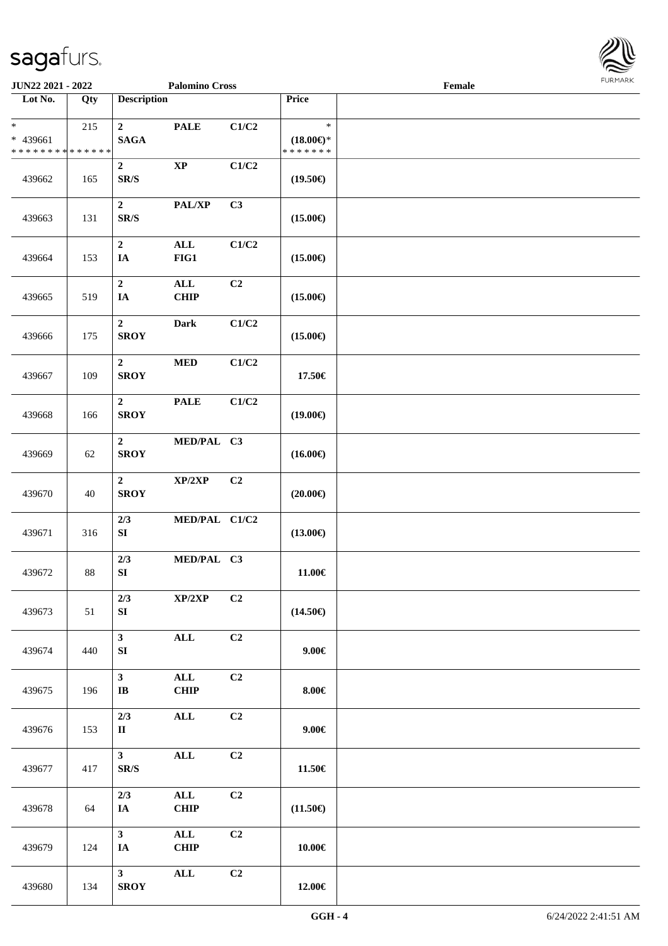

| <b>JUN22 2021 - 2022</b>                                         |     |                                              | <b>Palomino Cross</b>         |       |                                                | Female |  |
|------------------------------------------------------------------|-----|----------------------------------------------|-------------------------------|-------|------------------------------------------------|--------|--|
| Lot No.                                                          | Qty | <b>Description</b>                           |                               |       | Price                                          |        |  |
| $\ast$<br>* 439661<br>* * * * * * * * <mark>* * * * * * *</mark> | 215 | $\mathbf{2}$<br><b>SAGA</b>                  | <b>PALE</b>                   | C1/C2 | $\ast$<br>$(18.00\epsilon)$ *<br>* * * * * * * |        |  |
| 439662                                                           | 165 | $\boldsymbol{2}$<br>SR/S                     | $\mathbf{X}\mathbf{P}$        | C1/C2 | $(19.50\epsilon)$                              |        |  |
| 439663                                                           | 131 | $\boldsymbol{2}$<br>$\mathbf{SR}/\mathbf{S}$ | PAL/XP                        | C3    | $(15.00\epsilon)$                              |        |  |
| 439664                                                           | 153 | $\boldsymbol{2}$<br>IA                       | $\mathbf{ALL}$<br>FIG1        | C1/C2 | $(15.00\epsilon)$                              |        |  |
| 439665                                                           | 519 | $\mathbf 2$<br>IA                            | $\mathbf{ALL}$<br><b>CHIP</b> | C2    | $(15.00\epsilon)$                              |        |  |
| 439666                                                           | 175 | $\overline{2}$<br><b>SROY</b>                | Dark                          | C1/C2 | $(15.00\epsilon)$                              |        |  |
| 439667                                                           | 109 | $\overline{2}$<br><b>SROY</b>                | $\bf MED$                     | C1/C2 | 17.50€                                         |        |  |
| 439668                                                           | 166 | $\boldsymbol{2}$<br><b>SROY</b>              | <b>PALE</b>                   | C1/C2 | $(19.00\epsilon)$                              |        |  |
| 439669                                                           | 62  | $\overline{2}$<br><b>SROY</b>                | MED/PAL C3                    |       | $(16.00\epsilon)$                              |        |  |
| 439670                                                           | 40  | $\overline{2}$<br><b>SROY</b>                | XP/2XP                        | C2    | $(20.00\epsilon)$                              |        |  |
| 439671                                                           | 316 | 2/3<br>${\bf S}{\bf I}$                      | MED/PAL C1/C2                 |       | $(13.00\epsilon)$                              |        |  |
| 439672                                                           | 88  | 2/3<br>${\bf S}{\bf I}$                      | MED/PAL C3                    |       | 11.00€                                         |        |  |
| 439673                                                           | 51  | 2/3<br>SI                                    | XP/2XP                        | C2    | $(14.50\epsilon)$                              |        |  |
| 439674                                                           | 440 | $\mathbf{3}$<br>SI                           | $\mathbf{ALL}$                | C2    | $9.00 \in$                                     |        |  |
| 439675                                                           | 196 | $\mathbf{3}$<br>$\bf IB$                     | $\mathbf{ALL}$<br><b>CHIP</b> | C2    | $8.00 \in$                                     |        |  |
| 439676                                                           | 153 | 2/3<br>$\mathbf{I}$                          | $\mathbf{ALL}$                | C2    | $9.00 \in$                                     |        |  |
| 439677                                                           | 417 | 3 <sup>1</sup><br>SR/S                       | $\mathbf{ALL}$                | C2    | 11.50€                                         |        |  |
| 439678                                                           | 64  | 2/3<br>IA                                    | $\mathbf{ALL}$<br><b>CHIP</b> | C2    | $(11.50\epsilon)$                              |        |  |
| 439679                                                           | 124 | 3 <sup>7</sup><br>IA                         | $\mathbf{ALL}$<br><b>CHIP</b> | C2    | $10.00 \in$                                    |        |  |
| 439680                                                           | 134 | 3 <sup>1</sup><br><b>SROY</b>                | $\mathbf{ALL}$                | C2    | $12.00\in$                                     |        |  |